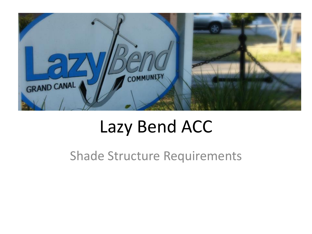

#### Lazy Bend ACC

Shade Structure Requirements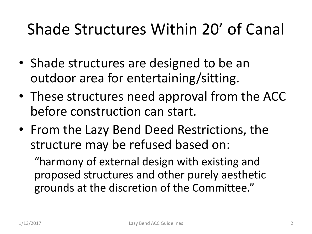#### Shade Structures Within 20' of Canal

- Shade structures are designed to be an outdoor area for entertaining/sitting.
- These structures need approval from the ACC before construction can start.
- From the Lazy Bend Deed Restrictions, the structure may be refused based on:

"harmony of external design with existing and proposed structures and other purely aesthetic grounds at the discretion of the Committee."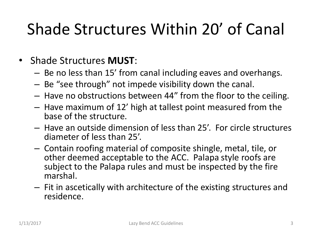### Shade Structures Within 20' of Canal

- Shade Structures **MUST**:
	- Be no less than 15' from canal including eaves and overhangs.
	- Be "see through" not impede visibility down the canal.
	- Have no obstructions between 44" from the floor to the ceiling.
	- Have maximum of 12' high at tallest point measured from the base of the structure.
	- Have an outside dimension of less than 25'. For circle structures diameter of less than 25'.
	- Contain roofing material of composite shingle, metal, tile, or other deemed acceptable to the ACC. Palapa style roofs are subject to the Palapa rules and must be inspected by the fire marshal.
	- Fit in ascetically with architecture of the existing structures and residence.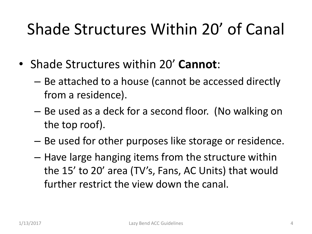#### Shade Structures Within 20' of Canal

- Shade Structures within 20' **Cannot**:
	- Be attached to a house (cannot be accessed directly from a residence).
	- Be used as a deck for a second floor. (No walking on the top roof).
	- Be used for other purposes like storage or residence.
	- Have large hanging items from the structure within the 15' to 20' area (TV's, Fans, AC Units) that would further restrict the view down the canal.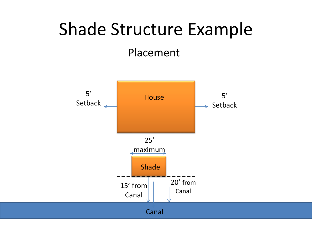# Shade Structure Example

Placement

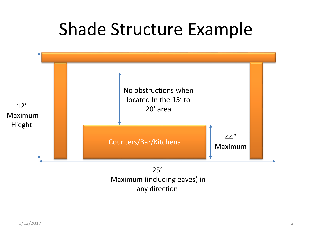## Shade Structure Example



any direction